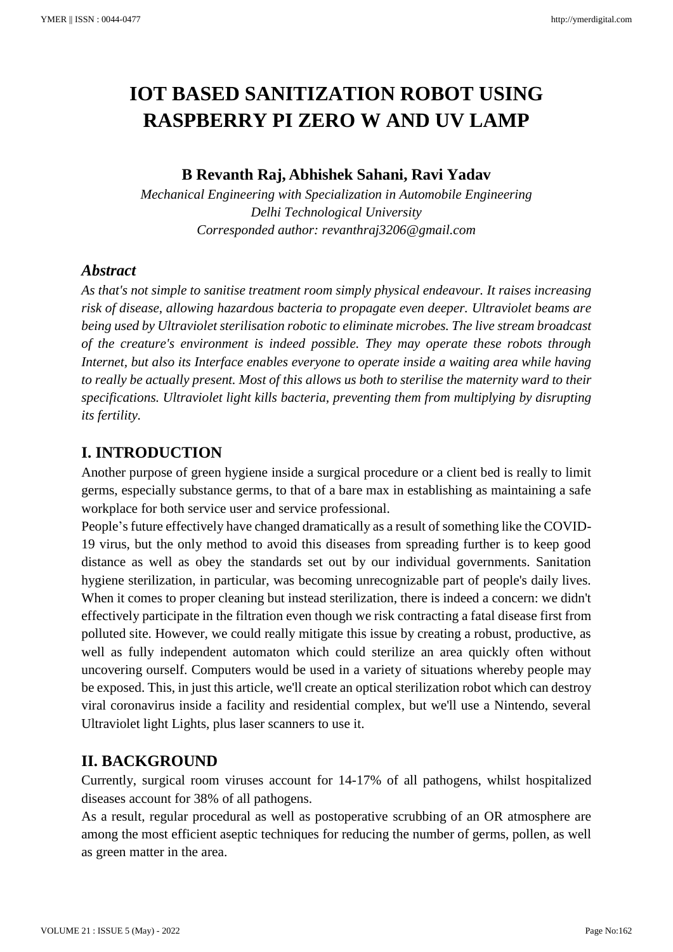# **IOT BASED SANITIZATION ROBOT USING RASPBERRY PI ZERO W AND UV LAMP**

## **B Revanth Raj, Abhishek Sahani, Ravi Yadav**

*Mechanical Engineering with Specialization in Automobile Engineering Delhi Technological University Corresponded author: revanthraj3206@gmail.com*

## *Abstract*

*As that's not simple to sanitise treatment room simply physical endeavour. It raises increasing risk of disease, allowing hazardous bacteria to propagate even deeper. Ultraviolet beams are being used by Ultraviolet sterilisation robotic to eliminate microbes. The live stream broadcast of the creature's environment is indeed possible. They may operate these robots through Internet, but also its Interface enables everyone to operate inside a waiting area while having to really be actually present. Most of this allows us both to sterilise the maternity ward to their specifications. Ultraviolet light kills bacteria, preventing them from multiplying by disrupting its fertility.*

# **I. INTRODUCTION**

Another purpose of green hygiene inside a surgical procedure or a client bed is really to limit germs, especially substance germs, to that of a bare max in establishing as maintaining a safe workplace for both service user and service professional.

People's future effectively have changed dramatically as a result of something like the COVID-19 virus, but the only method to avoid this diseases from spreading further is to keep good distance as well as obey the standards set out by our individual governments. Sanitation hygiene sterilization, in particular, was becoming unrecognizable part of people's daily lives. When it comes to proper cleaning but instead sterilization, there is indeed a concern: we didn't effectively participate in the filtration even though we risk contracting a fatal disease first from polluted site. However, we could really mitigate this issue by creating a robust, productive, as well as fully independent automaton which could sterilize an area quickly often without uncovering ourself. Computers would be used in a variety of situations whereby people may be exposed. This, in just this article, we'll create an optical sterilization robot which can destroy viral coronavirus inside a facility and residential complex, but we'll use a Nintendo, several Ultraviolet light Lights, plus laser scanners to use it.

# **II. BACKGROUND**

Currently, surgical room viruses account for 14-17% of all pathogens, whilst hospitalized diseases account for 38% of all pathogens.

As a result, regular procedural as well as postoperative scrubbing of an OR atmosphere are among the most efficient aseptic techniques for reducing the number of germs, pollen, as well as green matter in the area.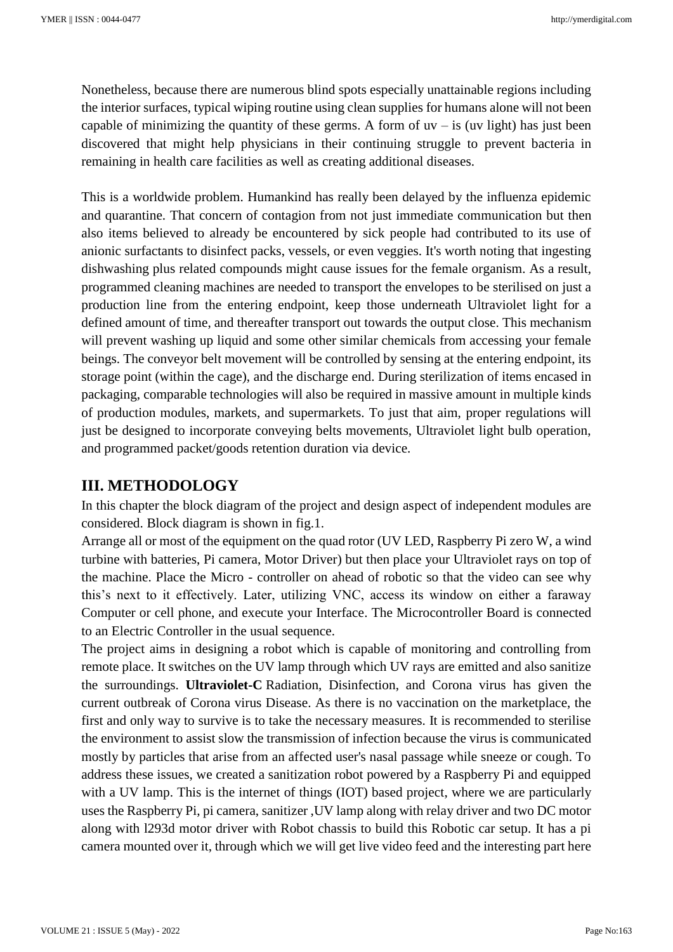Nonetheless, because there are numerous blind spots especially unattainable regions including the interior surfaces, typical wiping routine using clean supplies for humans alone will not been capable of minimizing the quantity of these germs. A form of  $uv - is (uv light)$  has just been discovered that might help physicians in their continuing struggle to prevent bacteria in remaining in health care facilities as well as creating additional diseases.

This is a worldwide problem. Humankind has really been delayed by the influenza epidemic and quarantine. That concern of contagion from not just immediate communication but then also items believed to already be encountered by sick people had contributed to its use of anionic surfactants to disinfect packs, vessels, or even veggies. It's worth noting that ingesting dishwashing plus related compounds might cause issues for the female organism. As a result, programmed cleaning machines are needed to transport the envelopes to be sterilised on just a production line from the entering endpoint, keep those underneath Ultraviolet light for a defined amount of time, and thereafter transport out towards the output close. This mechanism will prevent washing up liquid and some other similar chemicals from accessing your female beings. The conveyor belt movement will be controlled by sensing at the entering endpoint, its storage point (within the cage), and the discharge end. During sterilization of items encased in packaging, comparable technologies will also be required in massive amount in multiple kinds of production modules, markets, and supermarkets. To just that aim, proper regulations will just be designed to incorporate conveying belts movements, Ultraviolet light bulb operation, and programmed packet/goods retention duration via device.

## **III. METHODOLOGY**

In this chapter the block diagram of the project and design aspect of independent modules are considered. Block diagram is shown in fig.1.

Arrange all or most of the equipment on the quad rotor (UV LED, Raspberry Pi zero W, a wind turbine with batteries, Pi camera, Motor Driver) but then place your Ultraviolet rays on top of the machine. Place the Micro - controller on ahead of robotic so that the video can see why this's next to it effectively. Later, utilizing VNC, access its window on either a faraway Computer or cell phone, and execute your Interface. The Microcontroller Board is connected to an Electric Controller in the usual sequence.

The project aims in designing a robot which is capable of monitoring and controlling from remote place. It switches on the UV lamp through which UV rays are emitted and also sanitize the surroundings. **Ultraviolet-C** Radiation, Disinfection, and Corona virus has given the current outbreak of Corona virus Disease. As there is no vaccination on the marketplace, the first and only way to survive is to take the necessary measures. It is recommended to sterilise the environment to assist slow the transmission of infection because the virus is communicated mostly by particles that arise from an affected user's nasal passage while sneeze or cough. To address these issues, we created a sanitization robot powered by a Raspberry Pi and equipped with a UV lamp. This is the internet of things (IOT) based project, where we are particularly uses the Raspberry Pi, pi camera, sanitizer ,UV lamp along with relay driver and two DC motor along with l293d motor driver with Robot chassis to build this Robotic car setup. It has a pi camera mounted over it, through which we will get live video feed and the interesting part here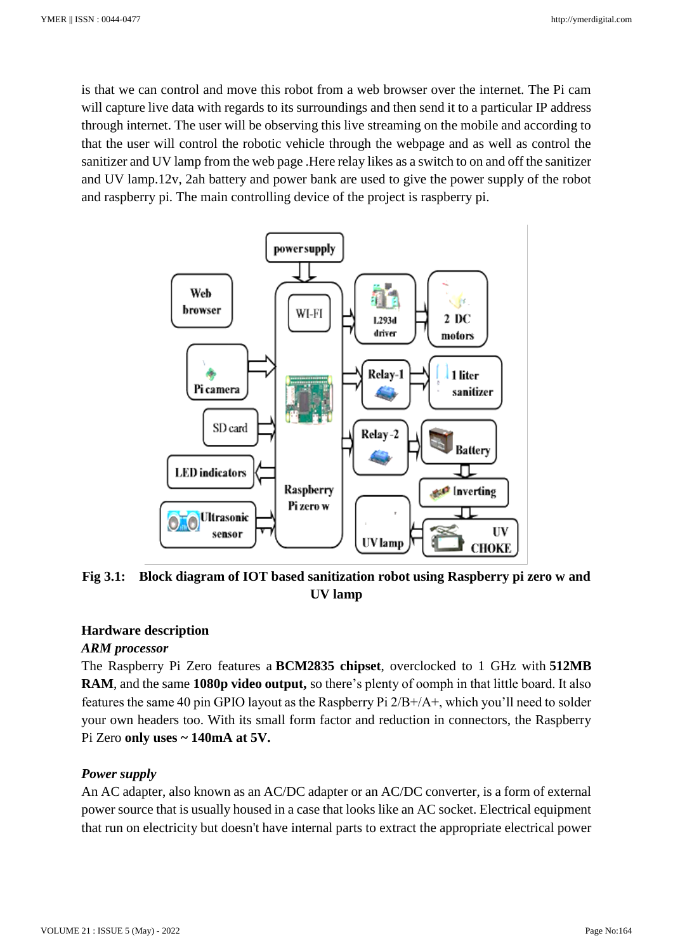is that we can control and move this robot from a web browser over the internet. The Pi cam will capture live data with regards to its surroundings and then send it to a particular IP address through internet. The user will be observing this live streaming on the mobile and according to that the user will control the robotic vehicle through the webpage and as well as control the sanitizer and UV lamp from the web page .Here relay likes as a switch to on and off the sanitizer and UV lamp.12v, 2ah battery and power bank are used to give the power supply of the robot and raspberry pi. The main controlling device of the project is raspberry pi.



**Fig 3.1: Block diagram of IOT based sanitization robot using Raspberry pi zero w and UV lamp**

#### **Hardware description**

#### *ARM processor*

The Raspberry Pi Zero features a **BCM2835 chipset**, overclocked to 1 GHz with **512MB RAM**, and the same **1080p video output,** so there's plenty of oomph in that little board. It also features the same 40 pin GPIO layout as the Raspberry Pi 2/B+/A+, which you'll need to solder your own headers too. With its small form factor and reduction in connectors, the Raspberry Pi Zero **only uses ~ 140mA at 5V.**

#### *Power supply*

An AC adapter, also known as an AC/DC adapter or an AC/DC converter, is a form of external power source that is usually housed in a case that looks like an AC socket. Electrical equipment that run on electricity but doesn't have internal parts to extract the appropriate electrical power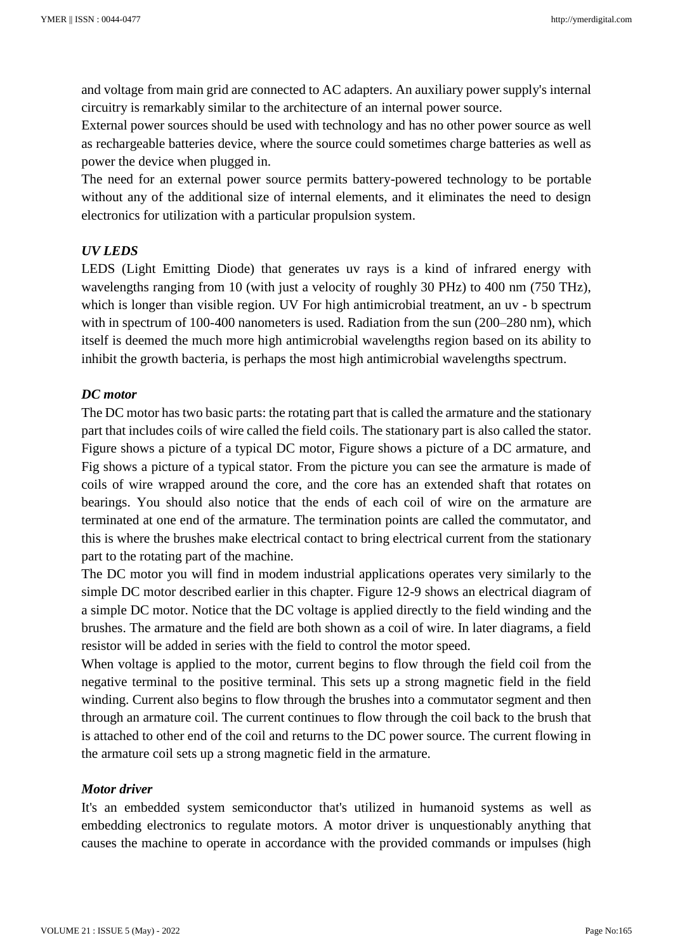and voltage from main grid are connected to AC adapters. An auxiliary power supply's internal circuitry is remarkably similar to the architecture of an internal power source.

External power sources should be used with technology and has no other power source as well as rechargeable batteries device, where the source could sometimes charge batteries as well as power the device when plugged in.

The need for an external power source permits battery-powered technology to be portable without any of the additional size of internal elements, and it eliminates the need to design electronics for utilization with a particular propulsion system.

#### *UV LEDS*

LEDS (Light Emitting Diode) that generates uv rays is a kind of infrared energy with wavelengths ranging from 10 (with just a velocity of roughly 30 PHz) to 400 nm (750 THz), which is longer than visible region. UV For high antimicrobial treatment, an uv - b spectrum with in spectrum of 100-400 nanometers is used. Radiation from the sun (200–280 nm), which itself is deemed the much more high antimicrobial wavelengths region based on its ability to inhibit the growth bacteria, is perhaps the most high antimicrobial wavelengths spectrum.

#### *DC motor*

The DC motor has two basic parts: the rotating part that is called the armature and the stationary part that includes coils of wire called the field coils. The stationary part is also called the stator. Figure shows a picture of a typical DC motor, Figure shows a picture of a DC armature, and Fig shows a picture of a typical stator. From the picture you can see the armature is made of coils of wire wrapped around the core, and the core has an extended shaft that rotates on bearings. You should also notice that the ends of each coil of wire on the armature are terminated at one end of the armature. The termination points are called the commutator, and this is where the brushes make electrical contact to bring electrical current from the stationary part to the rotating part of the machine.

The DC motor you will find in modem industrial applications operates very similarly to the simple DC motor described earlier in this chapter. Figure 12-9 shows an electrical diagram of a simple DC motor. Notice that the DC voltage is applied directly to the field winding and the brushes. The armature and the field are both shown as a coil of wire. In later diagrams, a field resistor will be added in series with the field to control the motor speed.

When voltage is applied to the motor, current begins to flow through the field coil from the negative terminal to the positive terminal. This sets up a strong magnetic field in the field winding. Current also begins to flow through the brushes into a commutator segment and then through an armature coil. The current continues to flow through the coil back to the brush that is attached to other end of the coil and returns to the DC power source. The current flowing in the armature coil sets up a strong magnetic field in the armature.

#### *Motor driver*

It's an embedded system semiconductor that's utilized in humanoid systems as well as embedding electronics to regulate motors. A motor driver is unquestionably anything that causes the machine to operate in accordance with the provided commands or impulses (high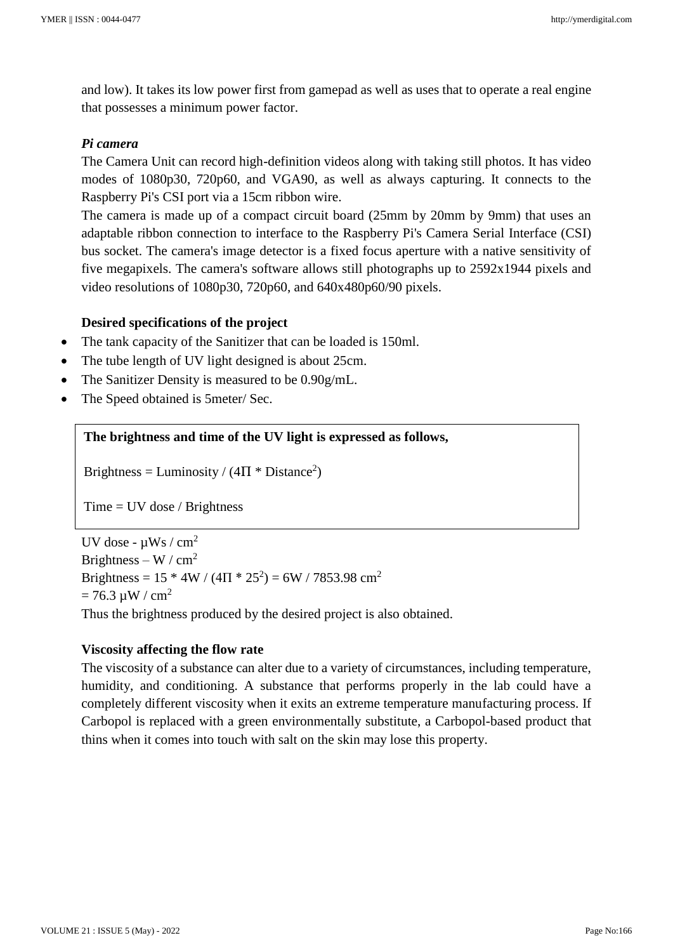and low). It takes its low power first from gamepad as well as uses that to operate a real engine that possesses a minimum power factor.

#### *Pi camera*

The Camera Unit can record high-definition videos along with taking still photos. It has video modes of 1080p30, 720p60, and VGA90, as well as always capturing. It connects to the Raspberry Pi's CSI port via a 15cm ribbon wire.

The camera is made up of a compact circuit board (25mm by 20mm by 9mm) that uses an adaptable ribbon connection to interface to the Raspberry Pi's Camera Serial Interface (CSI) bus socket. The camera's image detector is a fixed focus aperture with a native sensitivity of five megapixels. The camera's software allows still photographs up to 2592x1944 pixels and video resolutions of 1080p30, 720p60, and 640x480p60/90 pixels.

#### **Desired specifications of the project**

- The tank capacity of the Sanitizer that can be loaded is 150ml.
- The tube length of UV light designed is about 25cm.
- The Sanitizer Density is measured to be 0.90g/mL.
- The Speed obtained is 5 meter/ Sec.

#### **The brightness and time of the UV light is expressed as follows,**

Brightness = Luminosity /  $(4\Pi * Distance^2)$ 

 $Time = UV$  dose / Brightness

Distance - cm<sup>2</sup>

UV dose -  $\mu$ Ws / cm<sup>2</sup> Brightness – W /  $cm<sup>2</sup>$ Brightness =  $15 * 4W / (4\Pi * 25^2) = 6W / 7853.98$  cm<sup>2</sup>  $= 76.3 \mu W / cm^2$ Thus the brightness produced by the desired project is also obtained.

#### **Viscosity affecting the flow rate**

The viscosity of a substance can alter due to a variety of circumstances, including temperature, humidity, and conditioning. A substance that performs properly in the lab could have a completely different viscosity when it exits an extreme temperature manufacturing process. If Carbopol is replaced with a green environmentally substitute, a Carbopol-based product that thins when it comes into touch with salt on the skin may lose this property.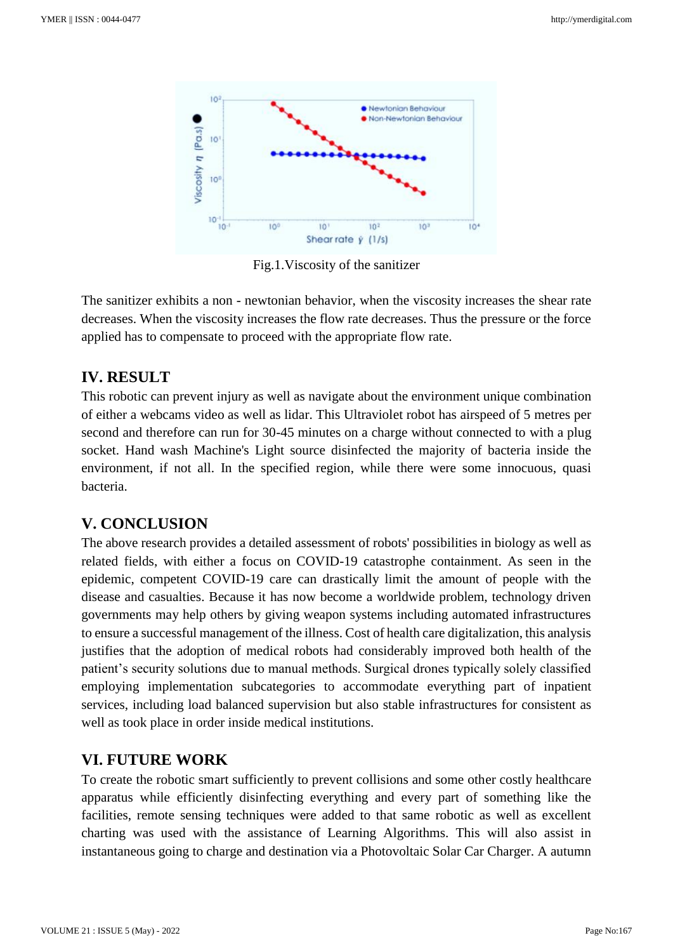

Fig.1.Viscosity of the sanitizer

The sanitizer exhibits a non - newtonian behavior, when the viscosity increases the shear rate decreases. When the viscosity increases the flow rate decreases. Thus the pressure or the force applied has to compensate to proceed with the appropriate flow rate.

# **IV. RESULT**

This robotic can prevent injury as well as navigate about the environment unique combination of either a webcams video as well as lidar. This Ultraviolet robot has airspeed of 5 metres per second and therefore can run for 30-45 minutes on a charge without connected to with a plug socket. Hand wash Machine's Light source disinfected the majority of bacteria inside the environment, if not all. In the specified region, while there were some innocuous, quasi bacteria.

# **V. CONCLUSION**

The above research provides a detailed assessment of robots' possibilities in biology as well as related fields, with either a focus on COVID-19 catastrophe containment. As seen in the epidemic, competent COVID-19 care can drastically limit the amount of people with the disease and casualties. Because it has now become a worldwide problem, technology driven governments may help others by giving weapon systems including automated infrastructures to ensure a successful management of the illness. Cost of health care digitalization, this analysis justifies that the adoption of medical robots had considerably improved both health of the patient's security solutions due to manual methods. Surgical drones typically solely classified employing implementation subcategories to accommodate everything part of inpatient services, including load balanced supervision but also stable infrastructures for consistent as well as took place in order inside medical institutions.

# **VI. FUTURE WORK**

To create the robotic smart sufficiently to prevent collisions and some other costly healthcare apparatus while efficiently disinfecting everything and every part of something like the facilities, remote sensing techniques were added to that same robotic as well as excellent charting was used with the assistance of Learning Algorithms. This will also assist in instantaneous going to charge and destination via a Photovoltaic Solar Car Charger. A autumn